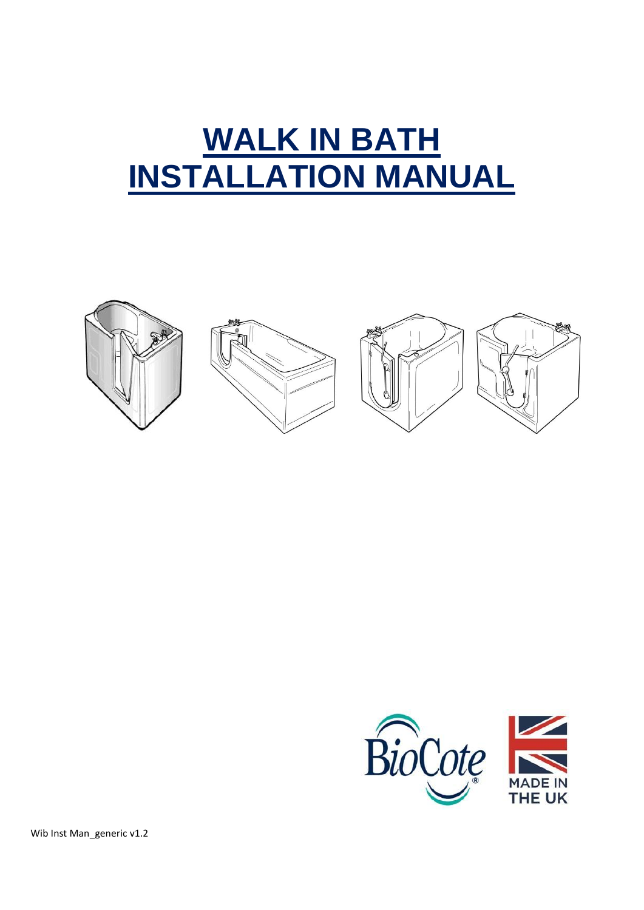# **WALK IN BATH INSTALLATION MANUAL**



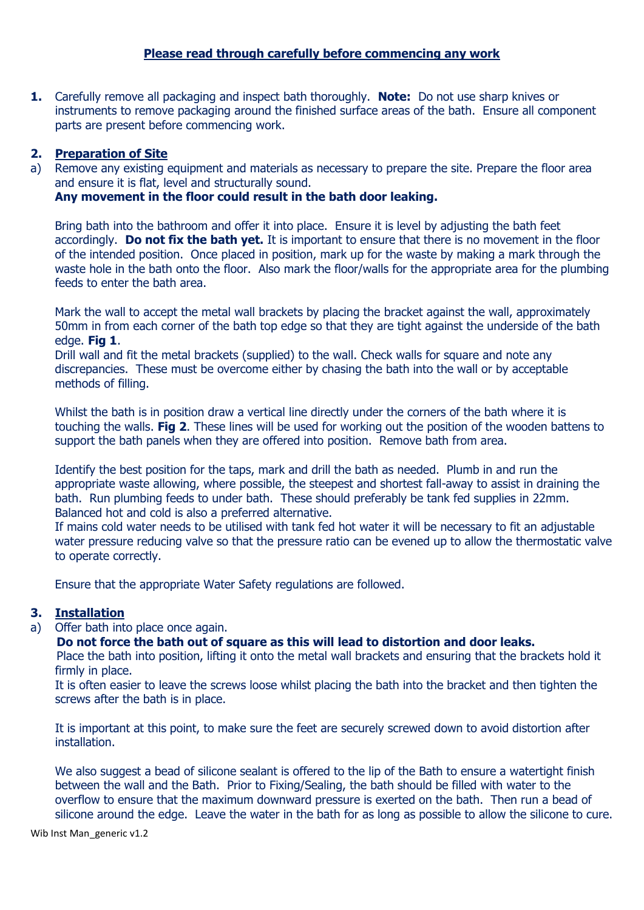#### **Please read through carefully before commencing any work**

**1.** Carefully remove all packaging and inspect bath thoroughly. **Note:** Do not use sharp knives or instruments to remove packaging around the finished surface areas of the bath. Ensure all component parts are present before commencing work.

#### **2. Preparation of Site**

a) Remove any existing equipment and materials as necessary to prepare the site. Prepare the floor area and ensure it is flat, level and structurally sound.

## **Any movement in the floor could result in the bath door leaking.**

Bring bath into the bathroom and offer it into place. Ensure it is level by adjusting the bath feet accordingly. **Do not fix the bath yet.** It is important to ensure that there is no movement in the floor of the intended position. Once placed in position, mark up for the waste by making a mark through the waste hole in the bath onto the floor. Also mark the floor/walls for the appropriate area for the plumbing feeds to enter the bath area.

Mark the wall to accept the metal wall brackets by placing the bracket against the wall, approximately 50mm in from each corner of the bath top edge so that they are tight against the underside of the bath edge. **Fig 1**.

Drill wall and fit the metal brackets (supplied) to the wall. Check walls for square and note any discrepancies. These must be overcome either by chasing the bath into the wall or by acceptable methods of filling.

Whilst the bath is in position draw a vertical line directly under the corners of the bath where it is touching the walls. **Fig 2**. These lines will be used for working out the position of the wooden battens to support the bath panels when they are offered into position. Remove bath from area.

Identify the best position for the taps, mark and drill the bath as needed. Plumb in and run the appropriate waste allowing, where possible, the steepest and shortest fall-away to assist in draining the bath. Run plumbing feeds to under bath. These should preferably be tank fed supplies in 22mm. Balanced hot and cold is also a preferred alternative.

If mains cold water needs to be utilised with tank fed hot water it will be necessary to fit an adjustable water pressure reducing valve so that the pressure ratio can be evened up to allow the thermostatic valve to operate correctly.

Ensure that the appropriate Water Safety regulations are followed.

## **3. Installation**

a) Offer bath into place once again.

**Do not force the bath out of square as this will lead to distortion and door leaks.** 

 Place the bath into position, lifting it onto the metal wall brackets and ensuring that the brackets hold it firmly in place.

It is often easier to leave the screws loose whilst placing the bath into the bracket and then tighten the screws after the bath is in place.

It is important at this point, to make sure the feet are securely screwed down to avoid distortion after installation.

We also suggest a bead of silicone sealant is offered to the lip of the Bath to ensure a watertight finish between the wall and the Bath. Prior to Fixing/Sealing, the bath should be filled with water to the overflow to ensure that the maximum downward pressure is exerted on the bath. Then run a bead of silicone around the edge. Leave the water in the bath for as long as possible to allow the silicone to cure.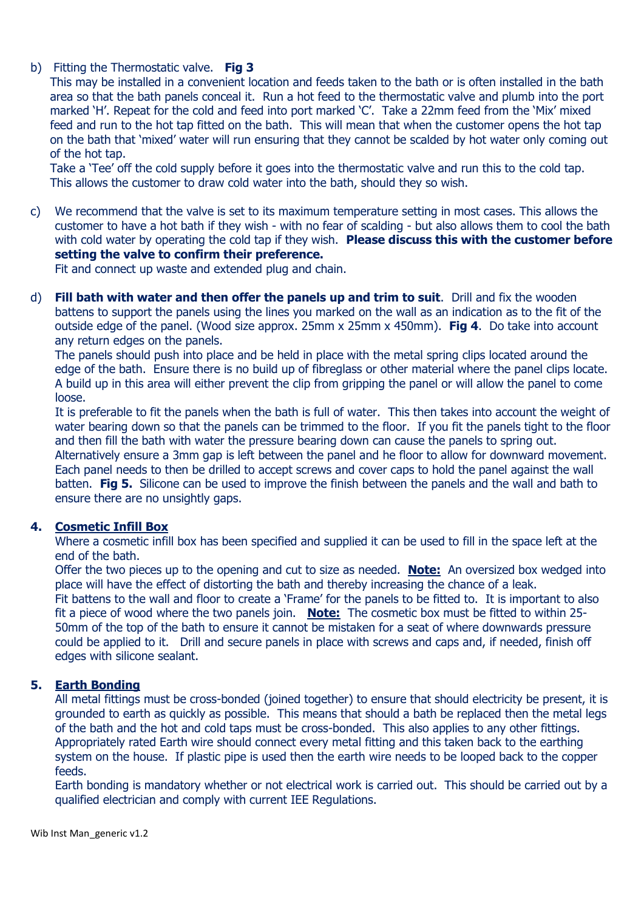## b) Fitting the Thermostatic valve. **Fig 3**

This may be installed in a convenient location and feeds taken to the bath or is often installed in the bath area so that the bath panels conceal it. Run a hot feed to the thermostatic valve and plumb into the port marked 'H'. Repeat for the cold and feed into port marked 'C'. Take a 22mm feed from the 'Mix' mixed feed and run to the hot tap fitted on the bath. This will mean that when the customer opens the hot tap on the bath that 'mixed' water will run ensuring that they cannot be scalded by hot water only coming out of the hot tap.

Take a 'Tee' off the cold supply before it goes into the thermostatic valve and run this to the cold tap. This allows the customer to draw cold water into the bath, should they so wish.

c) We recommend that the valve is set to its maximum temperature setting in most cases. This allows the customer to have a hot bath if they wish - with no fear of scalding - but also allows them to cool the bath with cold water by operating the cold tap if they wish. **Please discuss this with the customer before setting the valve to confirm their preference.**

Fit and connect up waste and extended plug and chain.

d) **Fill bath with water and then offer the panels up and trim to suit**. Drill and fix the wooden battens to support the panels using the lines you marked on the wall as an indication as to the fit of the outside edge of the panel. (Wood size approx. 25mm x 25mm x 450mm). **Fig 4**. Do take into account any return edges on the panels.

The panels should push into place and be held in place with the metal spring clips located around the edge of the bath. Ensure there is no build up of fibreglass or other material where the panel clips locate. A build up in this area will either prevent the clip from gripping the panel or will allow the panel to come loose.

It is preferable to fit the panels when the bath is full of water. This then takes into account the weight of water bearing down so that the panels can be trimmed to the floor. If you fit the panels tight to the floor and then fill the bath with water the pressure bearing down can cause the panels to spring out. Alternatively ensure a 3mm gap is left between the panel and he floor to allow for downward movement. Each panel needs to then be drilled to accept screws and cover caps to hold the panel against the wall batten. **Fig 5.** Silicone can be used to improve the finish between the panels and the wall and bath to ensure there are no unsightly gaps.

#### **4. Cosmetic Infill Box**

Where a cosmetic infill box has been specified and supplied it can be used to fill in the space left at the end of the bath.

Offer the two pieces up to the opening and cut to size as needed. **Note:** An oversized box wedged into place will have the effect of distorting the bath and thereby increasing the chance of a leak. Fit battens to the wall and floor to create a 'Frame' for the panels to be fitted to. It is important to also fit a piece of wood where the two panels join. **Note:** The cosmetic box must be fitted to within 25- 50mm of the top of the bath to ensure it cannot be mistaken for a seat of where downwards pressure could be applied to it. Drill and secure panels in place with screws and caps and, if needed, finish off edges with silicone sealant.

#### **5. Earth Bonding**

All metal fittings must be cross-bonded (joined together) to ensure that should electricity be present, it is grounded to earth as quickly as possible. This means that should a bath be replaced then the metal legs of the bath and the hot and cold taps must be cross-bonded. This also applies to any other fittings. Appropriately rated Earth wire should connect every metal fitting and this taken back to the earthing system on the house. If plastic pipe is used then the earth wire needs to be looped back to the copper feeds.

Earth bonding is mandatory whether or not electrical work is carried out. This should be carried out by a qualified electrician and comply with current IEE Regulations.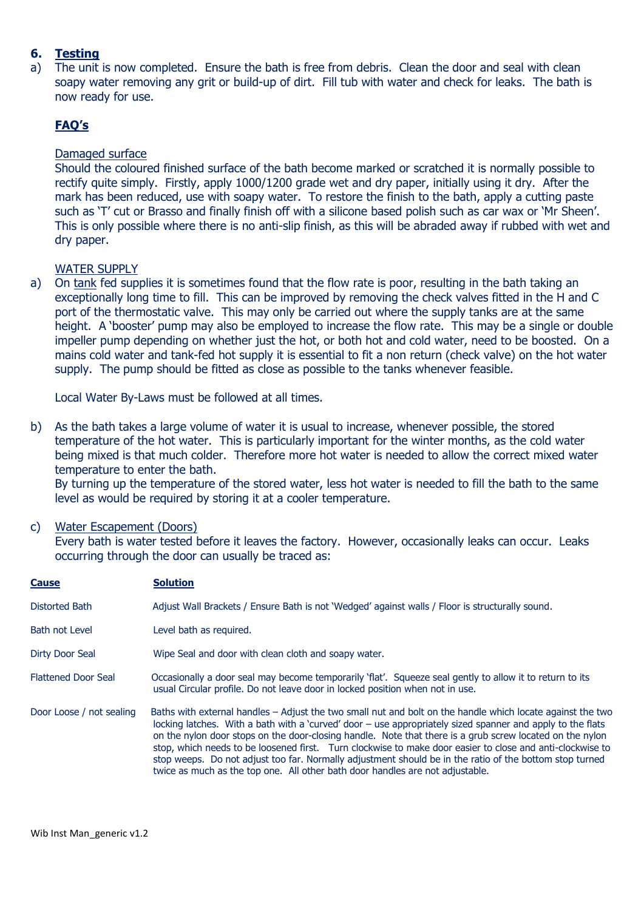## **6. Testing**

a) The unit is now completed. Ensure the bath is free from debris. Clean the door and seal with clean soapy water removing any grit or build-up of dirt. Fill tub with water and check for leaks. The bath is now ready for use.

## **FAQ's**

#### Damaged surface

Should the coloured finished surface of the bath become marked or scratched it is normally possible to rectify quite simply. Firstly, apply 1000/1200 grade wet and dry paper, initially using it dry. After the mark has been reduced, use with soapy water. To restore the finish to the bath, apply a cutting paste such as 'T' cut or Brasso and finally finish off with a silicone based polish such as car wax or 'Mr Sheen'. This is only possible where there is no anti-slip finish, as this will be abraded away if rubbed with wet and dry paper.

#### WATER SUPPLY

a) On tank fed supplies it is sometimes found that the flow rate is poor, resulting in the bath taking an exceptionally long time to fill. This can be improved by removing the check valves fitted in the H and C port of the thermostatic valve. This may only be carried out where the supply tanks are at the same height. A 'booster' pump may also be employed to increase the flow rate. This may be a single or double impeller pump depending on whether just the hot, or both hot and cold water, need to be boosted. On a mains cold water and tank-fed hot supply it is essential to fit a non return (check valve) on the hot water supply. The pump should be fitted as close as possible to the tanks whenever feasible.

Local Water By-Laws must be followed at all times.

b) As the bath takes a large volume of water it is usual to increase, whenever possible, the stored temperature of the hot water. This is particularly important for the winter months, as the cold water being mixed is that much colder. Therefore more hot water is needed to allow the correct mixed water temperature to enter the bath.

By turning up the temperature of the stored water, less hot water is needed to fill the bath to the same level as would be required by storing it at a cooler temperature.

#### c) Water Escapement (Doors)

Every bath is water tested before it leaves the factory. However, occasionally leaks can occur. Leaks occurring through the door can usually be traced as:

| <b>Cause</b>               | <b>Solution</b>                                                                                                                                                                                                                                                                                                                                                                                                                                                                                                                                                                                                                                 |
|----------------------------|-------------------------------------------------------------------------------------------------------------------------------------------------------------------------------------------------------------------------------------------------------------------------------------------------------------------------------------------------------------------------------------------------------------------------------------------------------------------------------------------------------------------------------------------------------------------------------------------------------------------------------------------------|
| Distorted Bath             | Adjust Wall Brackets / Ensure Bath is not 'Wedged' against walls / Floor is structurally sound.                                                                                                                                                                                                                                                                                                                                                                                                                                                                                                                                                 |
| <b>Bath not Level</b>      | Level bath as required.                                                                                                                                                                                                                                                                                                                                                                                                                                                                                                                                                                                                                         |
| Dirty Door Seal            | Wipe Seal and door with clean cloth and soapy water.                                                                                                                                                                                                                                                                                                                                                                                                                                                                                                                                                                                            |
| <b>Flattened Door Seal</b> | Occasionally a door seal may become temporarily 'flat'. Squeeze seal gently to allow it to return to its<br>usual Circular profile. Do not leave door in locked position when not in use.                                                                                                                                                                                                                                                                                                                                                                                                                                                       |
| Door Loose / not sealing   | Baths with external handles – Adjust the two small nut and bolt on the handle which locate against the two<br>locking latches. With a bath with a 'curved' door $-$ use appropriately sized spanner and apply to the flats<br>on the nylon door stops on the door-closing handle. Note that there is a grub screw located on the nylon<br>stop, which needs to be loosened first. Turn clockwise to make door easier to close and anti-clockwise to<br>stop weeps. Do not adjust too far. Normally adjustment should be in the ratio of the bottom stop turned<br>twice as much as the top one. All other bath door handles are not adjustable. |